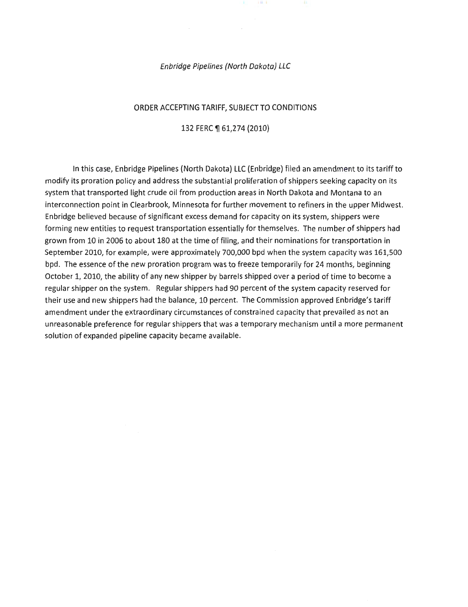#### Enbridge Pipelines {North Dakota) LLC

 $1 \, \text{II}$  1

#### ORDER ACCEPTING TARIFF, SUBJECT TO CONDITIONS

#### 132 FERC ¶ 61,274 (2010)

In this case, Enbridge Pipelines (North Dakota) LLC (Enbridge) filed an amendment to its tariff to modify its proration policy and address the substantial proliferation of shippers seeking capacity on its system that transported light crude oil from production areas in North Dakota and Montana to an interconnection point in Clearbrook, Minnesota for further movement to refiners in the upper Midwest. Enbridge believed because of significant excess demand for capacity on its system, shippers were forming new entities to request transportation essentially for themselves. The number of shippers had grown from 10 in 2006 to about 180 at the time of filing, and their nominations for transportation in September 2010, for example, were approximately 700,000 bpd when the system capacity was 161,500 bpd. The essence of the new proration program was to freeze temporarily for 24 months, beginning October 1, 2010, the ability of any new shipper by barrels shipped over a period of time to become a regular shipper on the system. Regular shippers had 90 percent of the system capacity reserved for their use and new shippers had the balance, 10 percent. The Commission approved Enbridge's tariff amendment under the extraordinary circumstances of constrained capacity that prevailed as not an unreasonable preference for regular shippers that was a temporary mechanism until a more permanent solution of expanded pipeline capacity became available.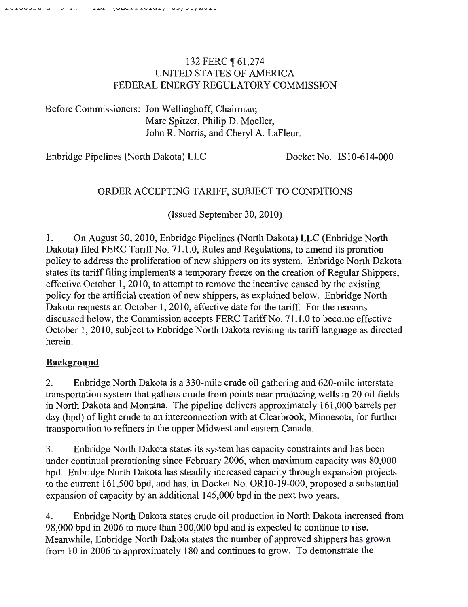# 132 FERC ¶ 61,274 UNITED STATES OF AMERICA FEDERAL ENERGY REGULATORY COMMISSION

Before Commissioners: Jon Wellinghoff, Chairman; Marc Spitzer, Philip D. Moeller, John R. Norris, and Cheryl A. LaFleur.

Enbridge Pipelines (North Dakota) LLC Docket No. IS10-614-000

# ORDER ACCEPTING TARIFF, SUBJECT TO CONDITIONS

(Issued September 30, 2010)

1. On August 30, 2010, Enbridge Pipelines (North Dakota) LLC (Enbridge North Dakota) filed FERC Tariff No. 71.1.0, Rules and Regulations, to amend its proration policy to address the proliferation of new shippers on its system. Enbridge North Dakota states its tariff filing implements a temporary freeze on the creation of Regular Shippers, effective October 1, 2010, to attempt to remove the incentive caused by the existing policy for the artificial creation of new shippers, as explained below. Enbridge North Dakota requests an October 1, 2010, effective date for the tariff. For the reasons discussed below, the Commission accepts FERC Tariff No. 71.1.0 to become effective October 1, 2010, subject to Enbridge North Dakota revising its tarifflanguage as directed herein.

## Background

2. Enbridge North Dakota is a 330-mile crude oil gathering and 620-mile interstate transportation system that gathers crude from points near producing wells in 20 oil fields in North Dakota and Montana. The pipeline delivers approximately 161,000 barrels per day (bpd) of light crude to an interconnection with at Clearbrook, Minnesota, for further transportation to refiners in the upper Midwest and eastern Canada.

3. Enbridge North Dakota states its system has capacity constraints and has been under continual prorationing since February 2006, when maximum capacity was 80,000 bpd. Enbridge North Dakota has steadily increased capacity through expansion projects to the current 161,500 bpd, and has, in Docket No. OR10-19-000, proposed a substantial expansion of capacity by an additional 145,000 bpd in the next two years.

4. Enbridge North Dakota states crude oil production in North Dakota increased from 98,000 bpd in 2006 to more than 300,000 bpd and is expected to continue to rise. Meanwhile, Enbridge North Dakota states the number of approved shippers has grown from 10 in 2006 to approximately 180 and continues to grow. To demonstrate the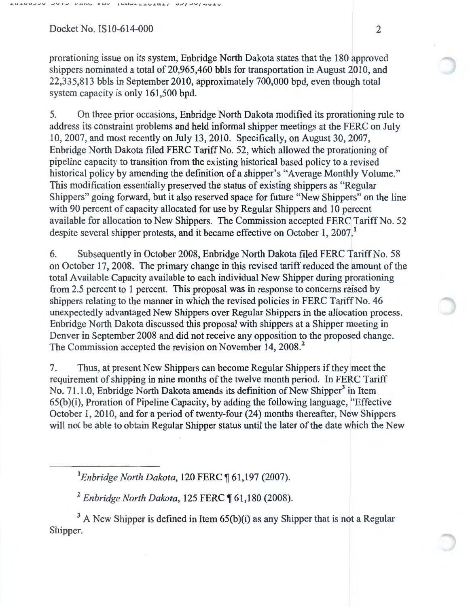prorationing issue on its system, Enbridge North Dakota states that the 180 approved shippers nominated a total of 20,965,460 bbls for transportation in August 2010, and 22,335,813 bbls in September 2010, approximately 700,000 bpd, even though total system capacity is only 161,500 bpd.

5. On three prior occasions, Enbridge North Dakota modified its prorationing rule to address its constraint problems and held informal shipper meetings at the FERC on July 10, 2007, and most recently on July 13, 2010. Specifically, on August 30,2007, Enbridge North Dakota filed FERC Tariff No. 52, which allowed the prorationing of pipeline capacity to transition from the existing historical based policy to a revised historical policy by amending the definition of a shipper's "Average Monthly Volume." This modification essentially preserved the status of existing shippers as "Regular Shippers" going forward, but it also reserved space for future "New Shippers" on the line with 90 percent of capacity allocated for use by Regular Shippers and 10 percent available for allocation to New Shippers. The Commission accepted FERC Tariff No. 52 despite several shipper protests, and it became effective on October 1, 2007.<sup>1</sup>

6. Subsequently in October 2008, Enbridge North Dakota filed FERC Tariff No. 58 on October 17, 2008. The primary change in this revised tariff reduced the amount of the total Available Capacity available to each individual New Shipper during prorationing from 2.5 percent to 1 percent. This proposal was in response to concerns raised by shippers relating to the manner in which the revised policies in FERC Tariff No. 46 unexpectedly advantaged New Shippers over Regular Shippers in the allocation process. Enbridge North Dakota discussed this proposal with shippers at a Shipper meeting in Denver in September 2008 and did not receive any opposition to the proposed change. The Commission accepted the revision on November 14, 2008.<sup>2</sup>

7. Thus, at present New Shippers can become Regular Shippers if they meet the requirement of shipping in nine months of the twelve month period. In FERC Tariff No. 71.1.0, Enbridge North Dakota amends its definition of New Shipper<sup>3</sup> in Item 65(b )(i), Proration of Pipeline Capacity, by adding the following language, "Effective October 1, 2010, and for a period of twenty-four (24) months thereafter, New Shippers will not be able to obtain Regular Shipper status until the later of the date which the New

<sup>1</sup> Enbridge North Dakota, 120 FERC ¶ 61,197 (2007).

<sup>2</sup> Enbridge North Dakota, 125 FERC ¶ 61,180 (2008).

 $3$  A New Shipper is defined in Item  $65(b)(i)$  as any Shipper that is not a Regular Shipper.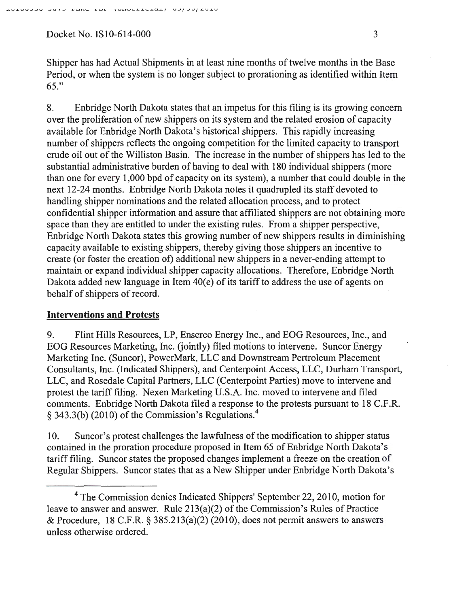Shipper has had Actual Shipments in at least nine months of twelve months in the Base Period, or when the system is no longer subject to prorationing as identified within Item 65."

8. Enbridge North Dakota states that an impetus for this filing is its growing concern over the proliferation of new shippers on its system and the related erosion of capacity available for Enbridge North Dakota's historical shippers. This rapidly increasing number of shippers reflects the ongoing competition for the limited capacity to transport crude oil out of the Williston Basin. The increase in the number of shippers has led to the substantial administrative burden of having to deal with 180 individual shippers (more than one for every 1,000 bpd of capacity on its system), a number that could double in the next 12-24 months. Enbridge North Dakota notes it quadrupled its staff devoted to handling shipper nominations and the related allocation process, and to protect confidential shipper information and assure that affiliated shippers are not obtaining more space than they are entitled to under the existing rules. From a shipper perspective, En bridge North Dakota states this growing number of new shippers results in diminishing capacity available to existing shippers, thereby giving those shippers an incentive to create (or foster the creation of) additional new shippers in a never-ending attempt to maintain or expand individual shipper capacity allocations. Therefore, Enbridge North Dakota added new language in Item  $40(e)$  of its tariff to address the use of agents on behalf of shippers of record.

## Interventions and Protests

9. Flint Hills Resources, LP, Enserco Energy Inc., and EOG Resources, Inc., and EOG Resources Marketing, Inc. (jointly) filed motions to intervene. Suncor Energy Marketing Inc. (Suncor), PowerMark, LLC and Downstream Pertroleum Placement Consultants, Inc. (Indicated Shippers), and Centerpoint Access, LLC, Durham Transport, LLC, and Rosedale Capital Partners, LLC (Centerpoint Parties) move to intervene and protest the tariff filing. Nexen Marketing U.S.A. Inc. moved to intervene and filed comments. Enbridge North Dakota filed a response to the protests pursuant to 18 C.F.R. § 343.3(b) (2010) of the Commission's Regulations.<sup>4</sup>

10. Suncor's protest challenges the lawfulness of the modification to shipper status contained in the proration procedure proposed in Item 65 of Enbridge North Dakota's tariff filing. Suncor states the proposed changes implement a freeze on the creation of Regular Shippers. Suncor states that as a New Shipper under Enbridge North Dakota's

<sup>4</sup> The Commission denies Indicated Shippers' September 22, 2010, motion for leave to answer and answer. Rule 213(a)(2) of the Commission's Rules of Practice & Procedure, 18 C.F.R. § 385.213(a)(2) (2010), does not permit answers to answers unless otherwise ordered.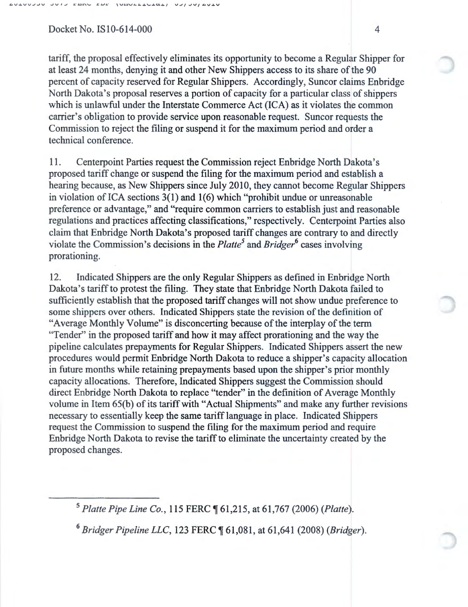tariff, the proposal effectively eliminates its opportunity to become a Regular Shipper for at least 24 months, denying it and other New Shippers access to its share of the 90 percent of capacity reserved for Regular Shippers. Accordingly, Suncor claims Enbridge North Dakota's proposal reserves a portion of capacity for a particular class of shippers which is unlawful under the Interstate Commerce Act (ICA) as it violates the common carrier's obligation to provide service upon reasonable request. Suncor requests the Commission to reject the filing or suspend it for the maximum period and order a technical conference.

11. Centerpoint Parties request the Commission reject Enbridge North Dakota's proposed tariff change or suspend the filing for the maximum period and establish a hearing because, as New Shippers since July 2010, they cannot become Regular Shippers in violation of ICA sections  $3(1)$  and  $1(6)$  which "prohibit undue or unreasonable preference or advantage," and "require common carriers to establish just and reasonable regulations and practices affecting classifications," respectively. Centerpoint Parties also claim that Enbridge North Dakota's proposed tariff changes are contrary to and directly violate the Commission's decisions in the *Platte <sup>5</sup>*and *Bridger6* cases involving prorationing.

12. Indicated Shippers are the only Regular Shippers as defined in Enbridge North Dakota's tariff to protest the filing. They state that Enbridge North Dakota failed to sufficiently establish that the proposed tariff changes will not show undue preference to some shippers over others. Indicated Shippers state the revision of the definition of "Average Monthly Volume" is disconcerting because of the interplay of the term "Tender" in the proposed tariff and how it may affect prorationing and the way the pipeline calculates prepayments for Regular Shippers. Indicated Shippers assert the new procedures would permit Enbridge North Dakota to reduce a shipper's capacity allocation in future months while retaining prepayments based upon the shipper's prior monthly capacity allocations. Therefore, Indicated Shippers suggest the Commission should direct Enbridge North Dakota to replace "tender" in the definition of Average Monthly volume in Item 65(b) of its tariff with "Actual Shipments" and make any further revisions necessary to essentially keep the same tariff language in place. Indicated Shippers request the Commission to suspend the filing for the maximum period and require En bridge North Dakota to revise the tariff to eliminate the uncertainty created by the proposed changes.

<sup>5</sup>*Platte Pipe Line Co.,* 115 FERC ~ 61 ,215, at 61,767 (2006) *(Platte).* 

<sup>6</sup>*Bridger Pipeline LLC,* 123 FERC ~ 61 ,081, at 61 ,641 (2008) *(Bridger).*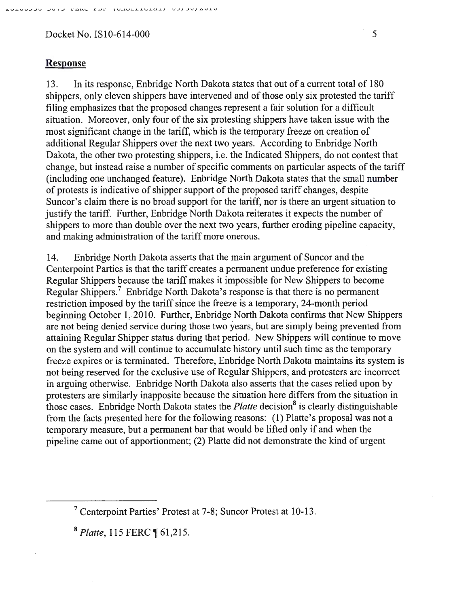### Response

13. In its response, Enbridge North Dakota states that out of a current total of 180 shippers, only eleven shippers have intervened and of those only six protested the tariff filing emphasizes that the proposed changes represent a fair solution for a difficult situation. Moreover, only four of the six protesting shippers have taken issue with the most significant change in the tariff, which is the temporary freeze on creation of additional Regular Shippers over the next two years. According to Enbridge North Dakota, the other two protesting shippers, i.e. the Indicated Shippers, do not contest that change, but instead raise a number of specific comments on particular aspects of the tariff (including one unchanged feature). Enbridge North Dakota states that the small number of protests is· indicative of shipper support of the proposed tariff changes, despite Suncor's claim there is no broad support for the tariff, nor is there an urgent situation to justify the tariff. Further, Enbridge North Dakota reiterates it expects the number of shippers to more than double over the next two years, further eroding pipeline capacity, and making administration of the tariff more onerous.

14. Enbridge North Dakota asserts that the main argument of Suncor and the Centerpoint Parties is that the tariff creates a permanent undue preference for existing Regular Shippers because the tariff makes it impossible for New Shippers to become Regular Shippers.<sup>7</sup> Enbridge North Dakota's response is that there is no permanent restriction imposed by the tariff since the freeze is a temporary, 24-month period beginning October 1, 2010. Further, Enbridge North Dakota confirms that New Shippers are not being denied service during those two years, but are simply being prevented from attaining Regular Shipper status during that period. New Shippers will continue to move on the system and will continue to accumulate history until such time as the temporary freeze expires or is terminated. Therefore, Enbridge North Dakota maintains its system is not being reserved for the exclusive use of Regular Shippers, and protesters are incorrect in arguing otherwise. Enbridge North Dakota also asserts that the cases relied upon by protesters are similarly inapposite because the situation here differs from the situation in those cases. Enbridge North Dakota states the *Platte* decision<sup>8</sup> is clearly distinguishable from the facts presented here for the following reasons: (1) Platte's proposal was not a temporary measure, but a permanent bar that would be lifted only if and when the pipeline came out of apportionment; (2) Platte did not demonstrate the kind of urgent

<sup>8</sup>*Platte,* 115 FERC ~ 61,215.

<sup>&</sup>lt;sup>7</sup> Centerpoint Parties' Protest at 7-8; Suncor Protest at 10-13.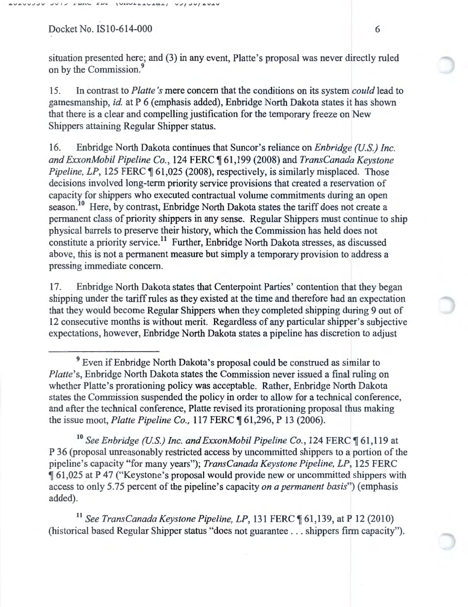situation presented here; and (3) in any event, Platte's proposal was never directly ruled on by the Commission.<sup>9</sup>

15. In contrast to *Platte's* mere concern that the conditions on its system *could* lead to gamesmanship, *id.* at P 6 (emphasis added), Enbridge North Dakota states it has shown that there is a clear and compelling justification for the temporary freeze on New Shippers attaining Regular Shipper status.

16. Enbridge North Dakota continues that Suncor's reliance on *Enbridge (U.S.) Inc. and ExxonMobil Pipeline Co.,* 124 FERC ~ 61 ,199 (2008) and *TransCanada Keystone Pipeline, LP*, 125 FERC  $\parallel$  61,025 (2008), respectively, is similarly misplaced. Those decisions involved long-term priority service provisions that created a reservation of capacity for shippers who executed contractual volume commitments during an open season.<sup>10</sup> Here, by contrast, Enbridge North Dakota states the tariff does not create a permanent class of priority shippers in any sense. Regular Shippers must continue to ship physical barrels to preserve their history, which the Commission has held does not constitute a priority service. 11 Further, Enbridge North Dakota stresses, as discussed above, this is not a permanent measure but simply a temporary provision to address a pressing immediate concern.

17. Enbridge North Dakota states that Centerpoint Parties' contention that they began shipping under the tariff rules as they existed at the time and therefore had an expectation that they would become Regular Shippers when they completed shipping during 9 out of 12 consecutive months is without merit. Regardless of any particular shipper's subjective expectations, however, Enbridge North Dakota states a pipeline has discretion to adjust

<sup>10</sup> See Enbridge (U.S.) Inc. and ExxonMobil Pipeline Co., 124 FERC ¶ 61,119 at P 36 (proposal unreasonably restricted access by uncommitted shippers to a portion of the pipeline's capacity "for many years"); *TransCanada Keystone Pipeline, LP,* 125 FERC <sup>~</sup>61,025 at P 47 ("Keystone's proposal would provide new or uncommitted shippers with access to only 5.75 percent of the pipeline's capacity *on a permanent basis")* (emphasis added).

<sup>11</sup> See TransCanada Keystone Pipeline, LP, 131 FERC ¶ 61,139, at P 12 (2010) (historical based Regular Shipper status "does not guarantee ... shippers firm capacity").

<sup>&</sup>lt;sup>9</sup> Even if Enbridge North Dakota's proposal could be construed as similar to *Platte's, Enbridge North Dakota states the Commission never issued a final ruling on* whether Platte's prorationing policy was acceptable. Rather, Enbridge North Dakota states the Commission suspended the policy in order to allow for a technical conference, and after the technical conference, Platte revised its prorationing proposal thus making the issue moot, *Platte Pipeline Co.*, 117 FERC ¶ 61,296, P 13 (2006).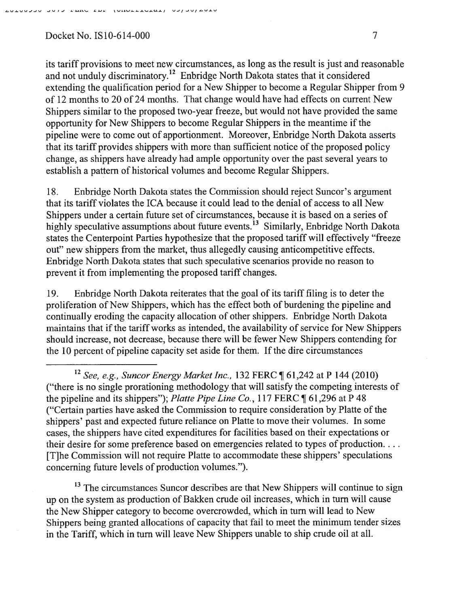its tariff provisions to meet new circumstances, as long as the result is just and reasonable and not unduly discriminatory.<sup>12</sup> Enbridge North Dakota states that it considered extending the qualification period for a New Shipper to become a Regular Shipper from 9 of 12 months to 20 of 24 months. That change would have had effects on current New Shippers similar to the proposed two-year freeze, but would not have provided the same opportunity for New Shippers to become Regular Shippers in the meantime if the pipeline were to come out of apportionment. Moreover, Enbridge North Dakota asserts that its tariff provides shippers with more than sufficient notice of the proposed policy change, as shippers have already had ample opportunity over the past several years to establish a pattern of historical volumes and become Regular Shippers.

18. Enbridge North Dakota states the Commission should reject Suncor's argument that its tariff violates the ICA because it could lead to the denial of access to all New Shippers under a certain future set of circumstances, because it is based on a series of highly speculative assumptions about future events.<sup>13</sup> Similarly, Enbridge North Dakota states the Centerpoint Parties hypothesize that the proposed tariff will effectively "freeze out" new shippers from the market, thus allegedly causing anticompetitive effects. Enbridge North Dakota states that such speculative scenarios provide no reason to prevent it from implementing the proposed tariff changes.

19. En bridge North Dakota reiterates that the goal of its tariff filing is to deter the proliferation of New Shippers, which has the effect both of burdening the pipeline and continually eroding the capacity allocation of other shippers. Enbridge North Dakota maintains that if the tariff works as intended, the availability of service for New Shippers should increase, not decrease, because there will be fewer New Shippers contending for the 10 percent of pipeline capacity set aside for them. If the dire circumstances

 $13$  The circumstances Suncor describes are that New Shippers will continue to sign up on the system as production of Bakken crude oil increases, which in tum will cause the New Shipper category to become overcrowded, which in tum will lead to New Shippers being granted allocations of capacity that fail to meet the minimum tender sizes in the Tariff, which in turn will leave New Shippers unable to ship crude oil at all.

<sup>&</sup>lt;sup>12</sup> See, e.g., Suncor Energy Market Inc., 132 FERC ¶ 61,242 at P 144 (2010) ("there is no single prorationing methodology that will satisfy the competing interests of the pipeline and its shippers"); *Platte Pipe Line Co.*, 117 FERC  $\P$  61,296 at P 48 ("Certain parties have asked the Commission to require consideration by Platte of the shippers' past and expected future reliance on Platte to move their volumes. In some cases, the shippers have cited expenditures for facilities based on their expectations or their desire for some preference based on emergencies related to types of production... [T]he Commission will not require Platte to accommodate these shippers' speculations concerning future levels of production volumes.").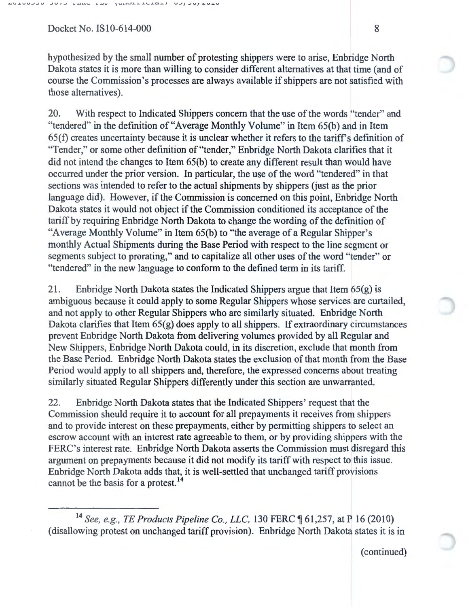hypothesized by the small number of protesting shippers were to arise, Enbridge North Dakota states it is more than willing to consider different alternatives at that time (and of course the Commission's processes are always available if shippers are not satisfied with those alternatives).

20. With respect to Indicated Shippers concern that the use of the words "tender" and "tendered" in the definition of "Average Monthly Volume" in Item 65(b) and in Item  $65(f)$  creates uncertainty because it is unclear whether it refers to the tariff's definition of "Tender," or some other definition of "tender," Enbridge North Dakota clarifies that it did not intend the changes to Item 65(b) to create any different result than would have occurred under the prior version. In particular, the use of the word "tendered" in that sections was intended to refer to the actual shipments by shippers (just as the prior language did). However, if the Commission is concerned on this point, Enbridge North Dakota states it would not object if the Commission conditioned its acceptance of the tariff by requiring Enbridge North Dakota to change the wording of the definition of "Average Monthly Volume" in Item 65(b) to "the average of a Regular Shipper's monthly Actual Shipments during the Base Period with respect to the line segment or segments subject to prorating," and to capitalize all other uses of the word "tender" or "tendered" in the new language to conform to the defined term in its tariff.

21. Enbridge North Dakota states the Indicated Shippers argue that Item  $65(g)$  is ambiguous because it could apply to some Regular Shippers whose services are curtailed, and not apply to other Regular Shippers who are similarly situated. Enbridge North Dakota clarifies that Item 65(g) does apply to all shippers. If extraordinary circumstances prevent Enbridge North Dakota from delivering volumes provided by all Regular and New Shippers, Enbridge North Dakota could, in its discretion, exclude that month from the Base Period. Enbridge North Dakota states the exclusion of that month from the Base Period would apply to all shippers and, therefore, the expressed concerns about treating similarly situated Regular Shippers differently under this section are unwarranted.

22. Enbridge North Dakota states that the Indicated Shippers' request that the Commission should require it to account for all prepayments it receives from shippers and to provide interest on these prepayments, either by permitting shippers to select an escrow account with an interest rate agreeable to them, or by providing shippers with the FERC's interest rate. Enbridge North Dakota asserts the Commission must disregard this argument on prepayments because it did not modify its tariff with respect to this issue. Enbridge North Dakota adds that, it is well-settled that unchanged tariff provisions cannot be the basis for a protest. <sup>14</sup>

<sup>14</sup> See, e.g., TE Products Pipeline Co., LLC, 130 FERC ¶ 61,257, at P 16 (2010) (disallowing protest on unchanged tariff provision). Enbridge North Dakota states it is in

(continued)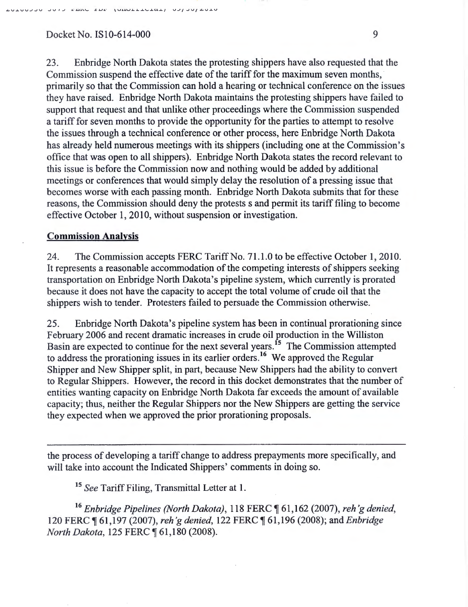23. Enbridge North Dakota states the protesting shippers have also requested that the Commission suspend the effective date of the tariff for the maximum seven months, · primarily so that the Commission can hold a hearing or technical conference on the issues they have raised. Enbridge North Dakota maintains the protesting shippers have failed to support that request and that unlike other proceedings where the Commission suspended a tariff for seven months to provide the opportunity for the parties to attempt to resolve the issues through a technical conference or other process, here Enbridge North Dakota has already held numerous meetings with its shippers (including one at the Commission's office that was open to all shippers). Enbridge North Dakota states the record relevant to this issue is before the Commission now and nothing would be added by additional meetings or conferences that would simply delay the resolution of a pressing issue that becomes worse with each passing month. Enbridge North Dakota submits that for these reasons, the Commission should deny the protests s and permit its tariff filing to become effective October 1, 2010, without suspension or investigation.

#### **Commission Analysis**

24. The Commission accepts FERC Tariff No. 71.1.0 to be effective October 1, 2010. It represents a reasonable accommodation of the competing interests of shippers seeking transportation on Enbridge North Dakota's pipeline system, which currently is prorated because it does not have the capacity to accept the total volume of crude oil that the shippers wish to tender. Protesters failed to persuade the Commission otherwise.

25. Enbridge North Dakota's pipeline system has been in continual prorationing since February 2006 and recent dramatic increases in crude oil production in the Williston Basin are expected to continue for the next several years.<sup>15</sup> The Commission attempted to address the prorationing issues in its earlier orders.<sup>16</sup> We approved the Regular Shipper and New Shipper split, in part, because New Shippers had the ability to convert to Regular Shippers. However, the record in this docket demonstrates that the number of entities wanting capacity on Enbridge North Dakota far exceeds the amount of available capacity; thus, neither the Regular Shippers nor the New Shippers are getting the service they expected when we approved the prior prorationing proposals.

the process of developing a tariff change to address prepayments more specifically, and will take into account the Indicated Shippers' comments in doing so.

<sup>15</sup>*See* Tariff Filing, Transmittal Letter at 1.

<sup>16</sup> Enbridge Pipelines (North Dakota), 118 FERC ¶ 61,162 (2007), reh'g denied, 120 FERC ~ 61,197 (2007), *reh* 'g *denied,* 122 FERC ~ 61,196 (2008); and *Enbridge North Dakota, 125 FERC* 161,180 (2008).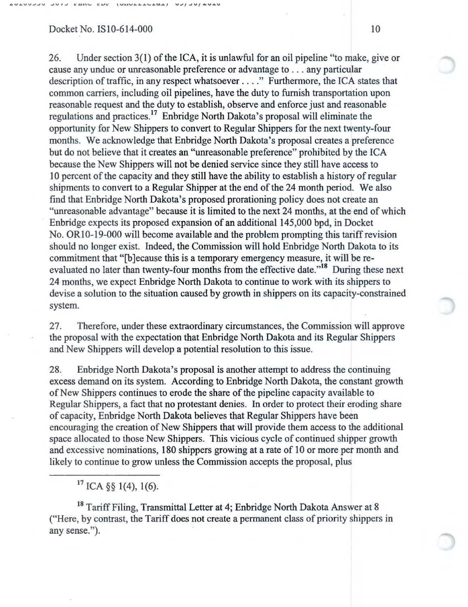$V - V - U \cup V \cup V$ 

#### Docket No. IS10-614-000 10

26. Under section 3(1) of the ICA, it is unlawful for an oil pipeline "to make, give or cause any undue or unreasonable preference or advantage to ... any particular description of traffic, in any respect whatsoever .... " Furthermore, the ICA states that common carriers, including oil pipelines, have the duty to furnish transportation upon reasonable request and the duty to establish, observe and enforce just and reasonable regulations and practices.<sup>17</sup> Enbridge North Dakota's proposal will eliminate the opportunity for New Shippers to convert to Regular Shippers for the next twenty-four months. We acknowledge that Enbridge North Dakota's proposal creates a preference but do not believe that it creates an "unreasonable preference" prohibited by the ICA because the New Shippers will not be denied service since they still have access to 10 percent of the capacity and they still have the ability to establish a history of regular shipments to convert to a Regular Shipper at the end of the 24 month period. We also find that Enbridge North Dakota's proposed prorationing policy does not create an "unreasonable advantage" because it is limited to the next 24 months, at the end of which Enbridge expects its proposed expansion of an additional 145,000 bpd, in Docket No. ORI0-19-000 will become available and the problem prompting this tariff revision should no longer exist. Indeed, the Commission will hold Enbridge North Dakota to its commitment that "[b] ecause this is a temporary emergency measure, it will be reevaluated no later than twenty-four months from the effective date."18 During these next 24 months, we expect Enbridge North Dakota to continue to work with its shippers to devise a solution to the situation caused by growth in shippers on its capacity-constrained system.

27. Therefore, under these extraordinary circumstances, the Commission will approve the proposal with the expectation that Enbridge North Dakota and its Regular Shippers and New Shippers will develop a potential resolution to this issue.

28. Enbridge North Dakota's proposal is another attempt to address the continuing excess demand on its system. According to Enbridge North Dakota, the constant growth of New Shippers continues to erode the share of the pipeline capacity available to Regular Shippers, a fact that no protestant denies. In order to protect their eroding share of capacity, Enbridge North Dakota believes that Regular Shippers have been encouraging the creation of New Shippers that will provide them access to the additional space allocated to those New Shippers. This vicious cycle of continued shipper growth and excessive nominations, 180 shippers growing at a rate of 10 or more per month and likely to continue to grow unless the Commission accepts the proposal, plus

 $17$  ICA §§ 1(4), 1(6).

<sup>18</sup> Tariff Filing, Transmittal Letter at 4; Enbridge North Dakota Answer at 8 ("Here, by contrast, the Tariff does not create a permanent class of priority shippers in any sense.").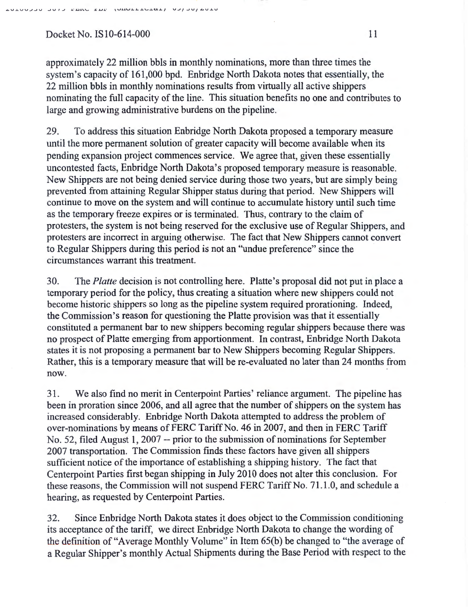approximately 22 million bbls in monthly nominations, more than three times the system's capacity of 161,000 bpd. Enbridge North Dakota notes that essentially, the 22 million bbls in monthly nominations results from virtually all active shippers nominating the full capacity of the line. This situation benefits no one and contributes to large and growing administrative burdens on the pipeline.

29. To address this situation Enbridge North Dakota proposed a temporary measure until the more permanent solution of greater capacity will become available when its pending expansion project commences service. We agree that, given these essentially uncontested facts, Enbridge North Dakota's proposed temporary measure is reasonable. New Shippers are not being denied service during those two years, but are simply being prevented from attaining Regular Shipper status during that period. New Shippers will continue to move on the system and will continue to accumulate history until such time as the temporary freeze expires or is terminated. Thus, contrary to the claim of protesters, the system is not being reserved for the exclusive use of Regular Shippers, and protesters are incorrect in arguing otherwise. The fact that New Shippers cannot convert to Regular Shippers during this period is not an "undue preference" since the circumstances warrant this treatment.

30. The *Platte* decision is not controlling here. Platte's proposal did not put in place a temporary period for the policy, thus creating a situation where new shippers could not become historic shippers so long as the pipeline system required prorationing. Indeed, the Commission's reason for questioning the Platte provision was that it essentially constituted a permanent bar to new shippers becoming regular shippers because there was no prospect of Platte emerging from apportionment. In contrast, Enbridge North Dakota states it is not proposing a permanent bar to New Shippers becoming Regular Shippers. Rather, this is a temporary measure that will be re-evaluated no later than 24 months from now.

31. We also find no merit in Centerpoint Parties' reliance argument. The pipeline has been in proration since 2006, and all agree that the number of shippers on the system has increased considerably. Enbridge North Dakota attempted to address the problem of over-nominations by means of FERC Tariff No. 46 in 2007, and then in FERC Tariff No. 52, filed August 1, 2007 -- prior to the submission of nominations for September 2007 transportation. The Commission finds these factors have given all shippers sufficient notice of the importance of establishing a shipping history. The fact that Centerpoint Parties first began shipping in July 2010 does not alter this conclusion. For these reasons, the Commission will not suspend FERC Tariff No. 71.1.0, and schedule a hearing, as requested by Centerpoint Parties.

32. Since Enbridge North Dakota states it does object to the Commission conditioning its acceptance of the tariff, we direct Enbridge North Dakota to change the wording of the definition of "Average Monthly Volume" in Item 65(b) be changed to "the average of a Regular Shipper's monthly Actual Shipments during the Base Period with respect to the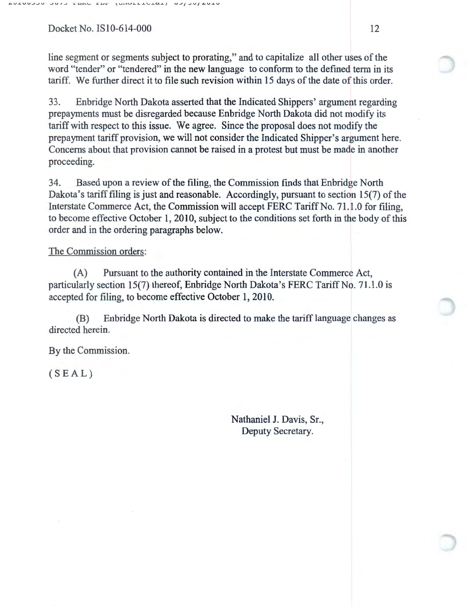line segment or segments subject to prorating," and to capitalize all other uses of the word "tender" or "tendered" in the new language to conform to the defined term in its tariff. We further direct it to file such revision within 15 days of the date of this order.

33. Enbridge North Dakota asserted that the Indicated Shippers' argument regarding prepayments must be disregarded because Enbridge North Dakota did not modify its tariff with respect to this issue. We agree. Since the proposal does not modify the prepayment tariff provision, we will not consider the Indicated Shipper's argument here. Concerns about that provision cannot be raised in a protest but must be made in another proceeding.

34. Based upon a review of the filing, the Commission finds that Enbridge North Dakota's tariff filing is just and reasonable. Accordingly, pursuant to section 15(7) of the Interstate Commerce Act, the Commission will accept FERC Tariff No. 71.1.0 for filing, to become effective October 1, 2010, subject to the conditions set forth in the body of this order and in the ordering paragraphs below.

#### The Commission orders:

(A) Pursuant to the authority contained in the Interstate Commerce Act, particularly section 15(7) thereof, Enbridge North Dakota's FERC Tariff No. 71.1.0 is accepted for filing, to become effective October 1, 2010.

(B) Enbridge North Dakota is directed to make the tariff language changes as directed herein.

By the Commission.

(SEAL)

Nathaniel J. Davis, Sr., Deputy Secretary.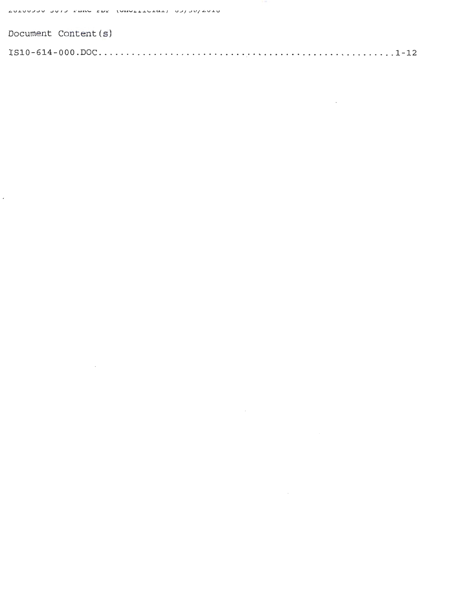$\ddot{\phantom{0}}$ 

| Document Content (s) |  |
|----------------------|--|
|                      |  |

 $\label{eq:2.1} \frac{1}{\sqrt{2}}\left(\frac{1}{\sqrt{2}}\right)^{2} \left(\frac{1}{\sqrt{2}}\right)^{2} \left(\frac{1}{\sqrt{2}}\right)^{2} \left(\frac{1}{\sqrt{2}}\right)^{2} \left(\frac{1}{\sqrt{2}}\right)^{2} \left(\frac{1}{\sqrt{2}}\right)^{2} \left(\frac{1}{\sqrt{2}}\right)^{2} \left(\frac{1}{\sqrt{2}}\right)^{2} \left(\frac{1}{\sqrt{2}}\right)^{2} \left(\frac{1}{\sqrt{2}}\right)^{2} \left(\frac{1}{\sqrt{2}}\right)^{2} \left(\$